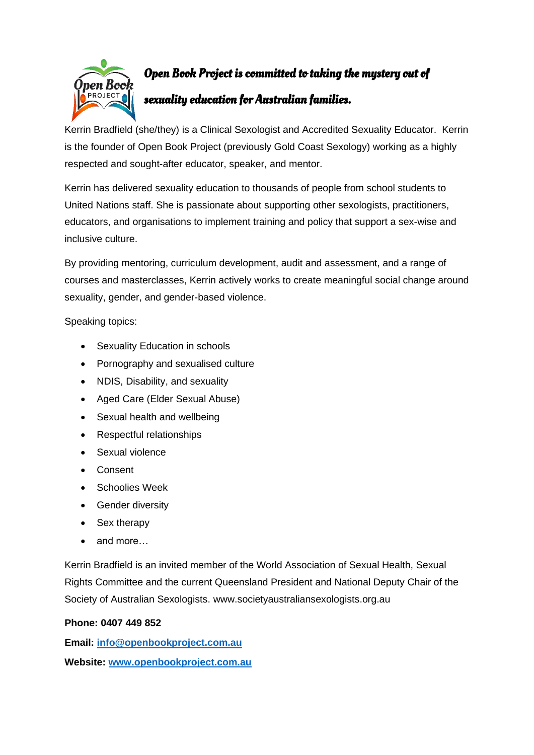

## Open Book Project is committed to taking the mystery out of

## sexuality education for Australian families.

Kerrin Bradfield (she/they) is a Clinical Sexologist and Accredited Sexuality Educator. Kerrin is the founder of Open Book Project (previously Gold Coast Sexology) working as a highly respected and sought-after educator, speaker, and mentor.

Kerrin has delivered sexuality education to thousands of people from school students to United Nations staff. She is passionate about supporting other sexologists, practitioners, educators, and organisations to implement training and policy that support a sex-wise and inclusive culture.

By providing mentoring, curriculum development, audit and assessment, and a range of courses and masterclasses, Kerrin actively works to create meaningful social change around sexuality, gender, and gender-based violence.

Speaking topics:

- Sexuality Education in schools
- Pornography and sexualised culture
- NDIS, Disability, and sexuality
- Aged Care (Elder Sexual Abuse)
- Sexual health and wellbeing
- Respectful relationships
- Sexual violence
- Consent
- Schoolies Week
- Gender diversity
- Sex therapy
- and more…

Kerrin Bradfield is an invited member of the World Association of Sexual Health, Sexual Rights Committee and the current Queensland President and National Deputy Chair of the Society of Australian Sexologists. www.societyaustraliansexologists.org.au

## **Phone: 0407 449 852**

**Email: [info@openbookproject.com.au](mailto:info@openbookproject.com.au) Website: [www.openbookproject.com.au](http://www.openbookproject.com.au/)**